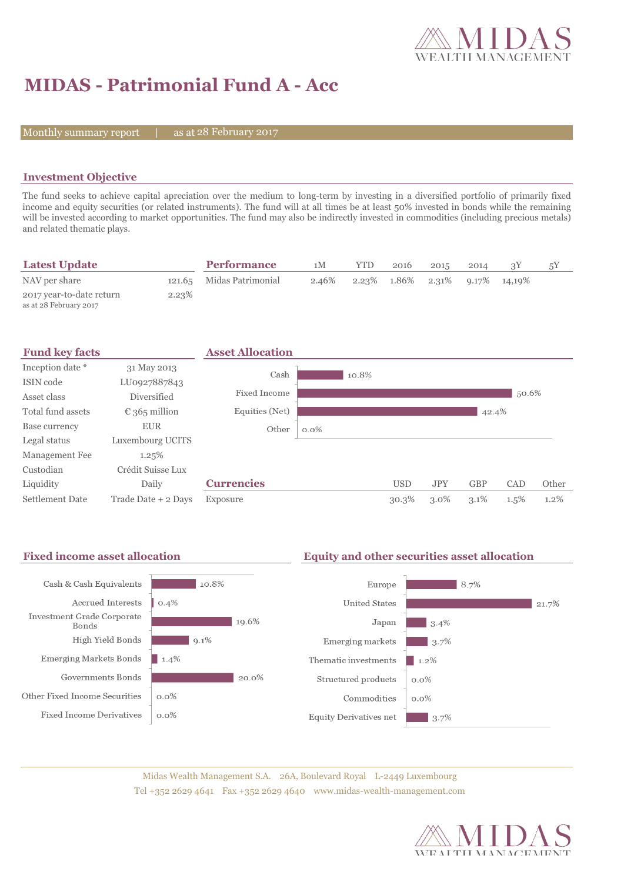

## **MIDAS - Patrimonial Fund A - Acc**

Monthly summary report

28 February 2017

### **Investment Objective**

The fund seeks to achieve capital apreciation over the medium to long-term by investing in a diversified portfolio of primarily fixed income and equity securities (or related instruments). The fund will at all times be at least 50% invested in bonds while the remaining will be invested according to market opportunities. The fund may also be indirectly invested in commodities (including precious metals) and related thematic plays.

| <b>Latest Update</b>                               |       | <b>Performance</b>       | 1 M   | <b>YTD</b> | 2016 | 2015 | 2014 |                                               |  |
|----------------------------------------------------|-------|--------------------------|-------|------------|------|------|------|-----------------------------------------------|--|
| NAV per share                                      |       | 121.65 Midas Patrimonial | 2.46% |            |      |      |      | $2.23\%$ $1.86\%$ $2.31\%$ $9.17\%$ $14.19\%$ |  |
| 2017 year-to-date return<br>as at 28 February 2017 | 2.23% |                          |       |            |      |      |      |                                               |  |



### **Fixed income asset allocation Equity and other securities asset allocation**



Midas Wealth Management S.A. 26A, Boulevard Royal L-2449 Luxembourg Tel +352 2629 4641 Fax +352 2629 4640 www.midas-wealth-management.com

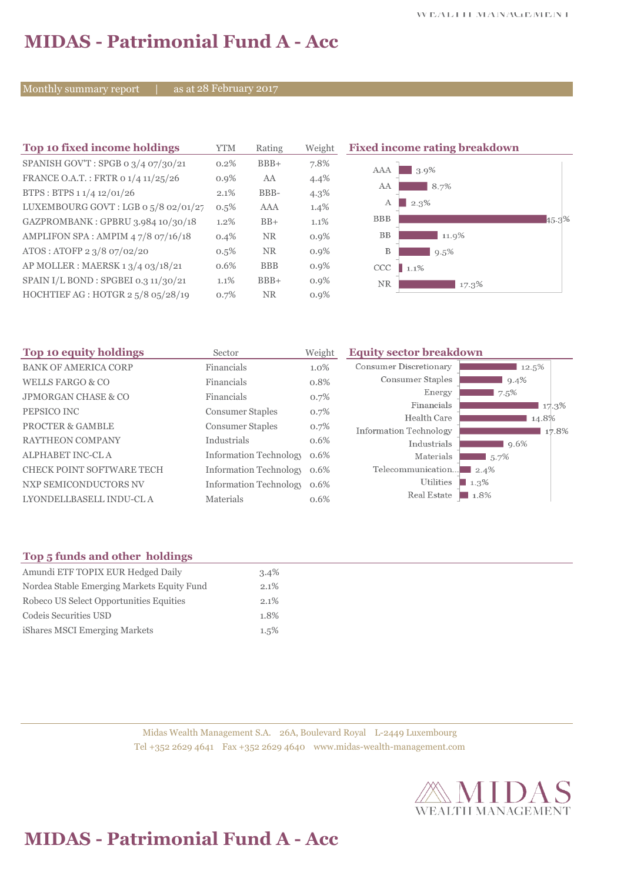## **MIDAS - Patrimonial Fund A - Acc**

Monthly summary report | as at 28 February 2017

| Top 10 fixed income holdings         | <b>YTM</b> | Rating     | Weigh   |
|--------------------------------------|------------|------------|---------|
| SPANISH GOV'T: SPGB o 3/4 07/30/21   | 0.2%       | $BBB+$     | 7.8%    |
| FRANCE O.A.T.: FRTR 0 1/4 11/25/26   | 0.9%       | AA         | 4.4%    |
| BTPS: BTPS 1 1/4 12/01/26            | 2.1%       | BBB-       | $4.3\%$ |
| LUXEMBOURG GOVT: LGB o 5/8 02/01/27  | 0.5%       | AAA        | 1.4%    |
| GAZPROMBANK: GPBRU 3.984 10/30/18    | $1.2\%$    | $BB+$      | $1.1\%$ |
| AMPLIFON SPA: AMPIM 47/8 07/16/18    | 0.4%       | <b>NR</b>  | 0.9%    |
| ATOS: ATOFP 2 3/8 07/02/20           | 0.5%       | <b>NR</b>  | 0.9%    |
| AP MOLLER : MAERSK 1 3/4 03/18/21    | 0.6%       | <b>BBB</b> | 0.9%    |
| SPAIN I/L BOND : SPGBEI 0.3 11/30/21 | 1.1%       | $BBB+$     | 0.9%    |
| HOCHTIEF AG : HOTGR 2 5/8 05/28/19   | 0.7%       | <b>NR</b>  | $0.9\%$ |

**The 10 fixed income rating breakdown** 



| Top 10 equity holdings           | Sector                        | Weight | <b>Equity sector breakdown</b>         |  |
|----------------------------------|-------------------------------|--------|----------------------------------------|--|
| <b>BANK OF AMERICA CORP</b>      | Financials                    | 1.0%   | <b>Consumer Discretionary</b><br>12.5% |  |
| WELLS FARGO & CO                 | Financials                    | 0.8%   | Consumer Staples<br>$9.4\%$            |  |
| <b>JPMORGAN CHASE &amp; CO</b>   | Financials                    | 0.7%   | Energy<br>7.5%                         |  |
| PEPSICO INC                      | <b>Consumer Staples</b>       | 0.7%   | Financials<br>17.3%                    |  |
|                                  |                               |        | Health Care<br>14.8%                   |  |
| <b>PROCTER &amp; GAMBLE</b>      | <b>Consumer Staples</b>       | 0.7%   | Information Technology<br>17.8%        |  |
| <b>RAYTHEON COMPANY</b>          | Industrials                   | 0.6%   | Industrials<br>9.6%                    |  |
| ALPHABET INC-CL A                | <b>Information Technology</b> | 0.6%   | Materials<br>$5.7\%$                   |  |
| <b>CHECK POINT SOFTWARE TECH</b> | <b>Information Technology</b> | 0.6%   | Telecommunication<br>$-2.4\%$          |  |
| NXP SEMICONDUCTORS NV            | <b>Information Technology</b> | 0.6%   | Utilities<br>$\perp 1.3\%$             |  |
| LYONDELLBASELL INDU-CL A         | <b>Materials</b>              | 0.6%   | Real Estate<br>1.8%                    |  |
|                                  |                               |        |                                        |  |

## **Top 5 funds and other holdings**

| Amundi ETF TOPIX EUR Hedged Daily          | 3.4% |
|--------------------------------------------|------|
| Nordea Stable Emerging Markets Equity Fund | 2.1% |
| Robeco US Select Opportunities Equities    | 2.1% |
| Codeis Securities USD                      | 1.8% |
| iShares MSCI Emerging Markets              | 1.5% |

Midas Wealth Management S.A. 26A, Boulevard Royal L-2449 Luxembourg Tel +352 2629 4641 Fax +352 2629 4640 www.midas-wealth-management.com



# **MIDAS - Patrimonial Fund A - Acc**